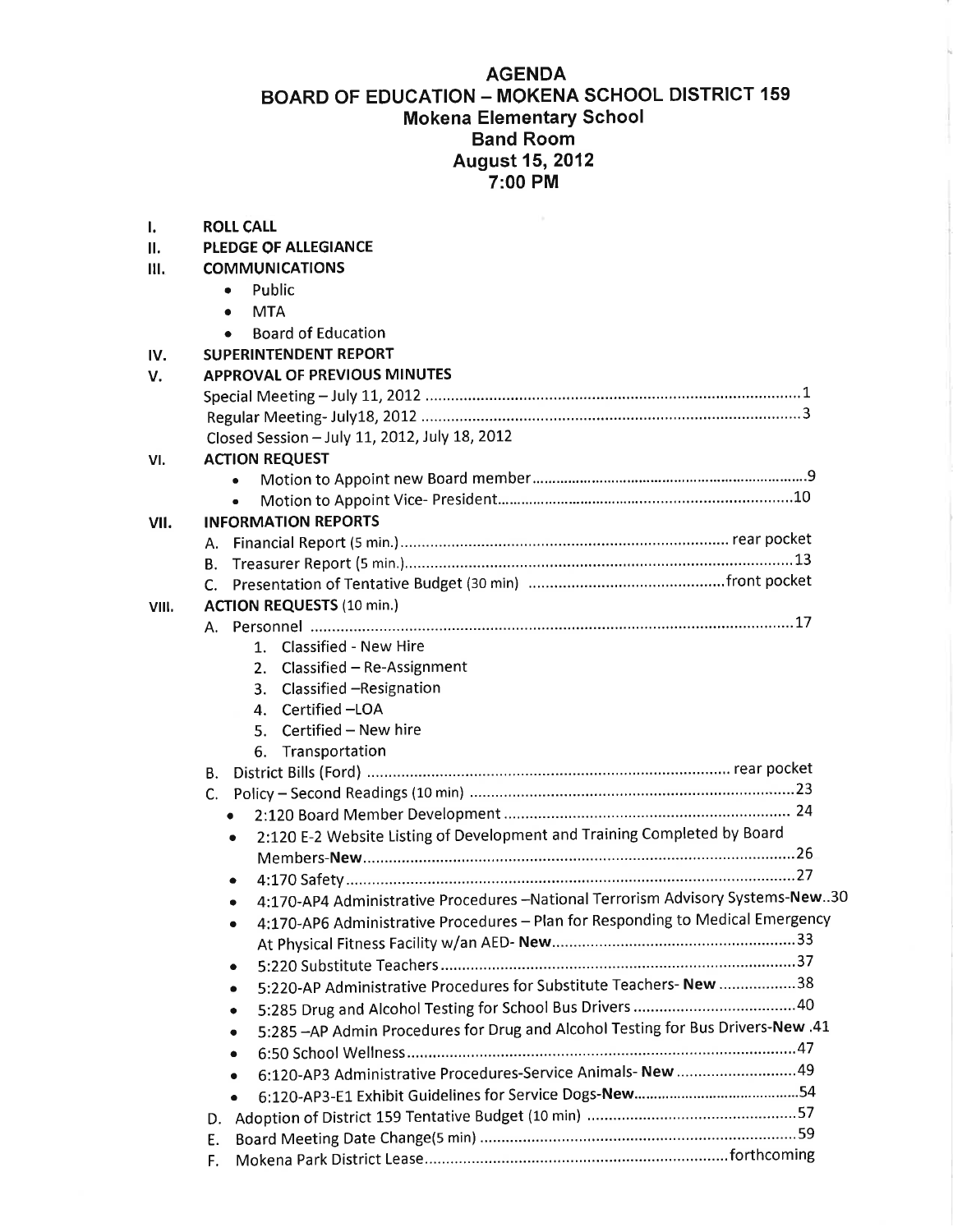## AGENDA

# BOARD OF EDUCATION - MOKENA SCHOOL DISTRICT <sup>159</sup> Mokena Elementary School Band Room August 15,2012 7:00 PM

| ı.        | <b>ROLL CALL</b>                                                                            |
|-----------|---------------------------------------------------------------------------------------------|
| ΙΙ.       | <b>PLEDGE OF ALLEGIANCE</b>                                                                 |
| Ш.<br>IV. | <b>COMMUNICATIONS</b>                                                                       |
|           | Public<br>۰                                                                                 |
|           | <b>MTA</b><br>$\bullet$                                                                     |
|           | <b>Board of Education</b>                                                                   |
|           | <b>SUPERINTENDENT REPORT</b>                                                                |
| V.        | <b>APPROVAL OF PREVIOUS MINUTES</b>                                                         |
|           |                                                                                             |
|           |                                                                                             |
|           | Closed Session - July 11, 2012, July 18, 2012                                               |
|           | <b>ACTION REQUEST</b>                                                                       |
| VI.       |                                                                                             |
|           |                                                                                             |
|           | <b>INFORMATION REPORTS</b>                                                                  |
| VII.      |                                                                                             |
|           | А.                                                                                          |
|           |                                                                                             |
|           | C.                                                                                          |
| VIII.     | <b>ACTION REQUESTS (10 min.)</b>                                                            |
|           | А.<br>1. Classified - New Hire                                                              |
|           |                                                                                             |
|           | 2. Classified - Re-Assignment                                                               |
|           | Classified -Resignation<br>3.<br>4. Certified -LOA                                          |
|           | Certified - New hire                                                                        |
|           | 5.                                                                                          |
|           | Transportation<br>6.                                                                        |
|           | В.                                                                                          |
|           |                                                                                             |
|           | $\bullet$                                                                                   |
|           | 2:120 E-2 Website Listing of Development and Training Completed by Board<br>$\bullet$       |
|           |                                                                                             |
|           | ٠                                                                                           |
|           | 4:170-AP4 Administrative Procedures -National Terrorism Advisory Systems-New30<br>٠         |
|           | 4:170-AP6 Administrative Procedures - Plan for Responding to Medical Emergency<br>$\bullet$ |
|           |                                                                                             |
|           | ٠                                                                                           |
|           | 5:220-AP Administrative Procedures for Substitute Teachers-New 38<br>$\bullet$              |
|           | ٠                                                                                           |
|           | 5:285 - AP Admin Procedures for Drug and Alcohol Testing for Bus Drivers-New .41<br>٠       |
|           | $\bullet$                                                                                   |
|           | 6:120-AP3 Administrative Procedures-Service Animals- New 49<br>$\bullet$                    |
|           | $\bullet$                                                                                   |
|           | D.                                                                                          |
|           | Е.                                                                                          |
|           | F.                                                                                          |